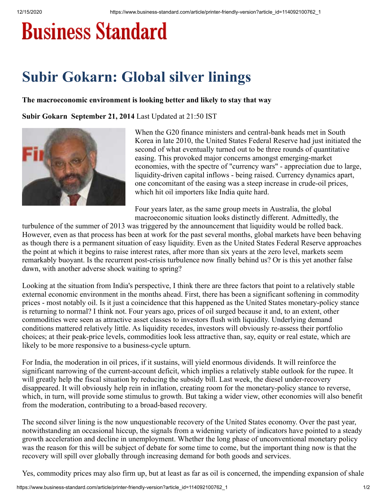## **Business Standard**

## **Subir Gokarn: Global silver linings**

## **The macroeconomic environment is looking better and likely to stay that way**

**Subir Gokarn September 21, 2014** Last Updated at 21:50 IST



When the G20 finance ministers and central-bank heads met in South Korea in late 2010, the United States Federal Reserve had just initiated the second of what eventually turned out to be three rounds of quantitative easing. This provoked major concerns amongst emerging-market economies, with the spectre of "currency wars" - appreciation due to large, liquidity-driven capital inflows - being raised. Currency dynamics apart, one concomitant of the easing was a steep increase in crude-oil prices, which hit oil importers like India quite hard.

Four years later, as the same group meets in Australia, the global macroeconomic situation looks distinctly different. Admittedly, the

turbulence of the summer of 2013 was triggered by the announcement that liquidity would be rolled back. However, even as that process has been at work for the past several months, global markets have been behaving as though there is a permanent situation of easy liquidity. Even as the United States Federal Reserve approaches the point at which it begins to raise interest rates, after more than six years at the zero level, markets seem remarkably buoyant. Is the recurrent post-crisis turbulence now finally behind us? Or is this yet another false dawn, with another adverse shock waiting to spring?

Looking at the situation from India's perspective, I think there are three factors that point to a relatively stable external economic environment in the months ahead. First, there has been a significant softening in commodity prices - most notably oil. Is it just a coincidence that this happened as the United States monetary-policy stance is returning to normal? I think not. Four years ago, prices of oil surged because it and, to an extent, other commodities were seen as attractive asset classes to investors flush with liquidity. Underlying demand conditions mattered relatively little. As liquidity recedes, investors will obviously re-assess their portfolio choices; at their peak-price levels, commodities look less attractive than, say, equity or real estate, which are likely to be more responsive to a business-cycle upturn.

For India, the moderation in oil prices, if it sustains, will yield enormous dividends. It will reinforce the significant narrowing of the current-account deficit, which implies a relatively stable outlook for the rupee. It will greatly help the fiscal situation by reducing the subsidy bill. Last week, the diesel under-recovery disappeared. It will obviously help rein in inflation, creating room for the monetary-policy stance to reverse, which, in turn, will provide some stimulus to growth. But taking a wider view, other economies will also benefit from the moderation, contributing to a broad-based recovery.

The second silver lining is the now unquestionable recovery of the United States economy. Over the past year, notwithstanding an occasional hiccup, the signals from a widening variety of indicators have pointed to a steady growth acceleration and decline in unemployment. Whether the long phase of unconventional monetary policy was the reason for this will be subject of debate for some time to come, but the important thing now is that the recovery will spill over globally through increasing demand for both goods and services.

Yes, commodity prices may also firm up, but at least as far as oil is concerned, the impending expansion of shale